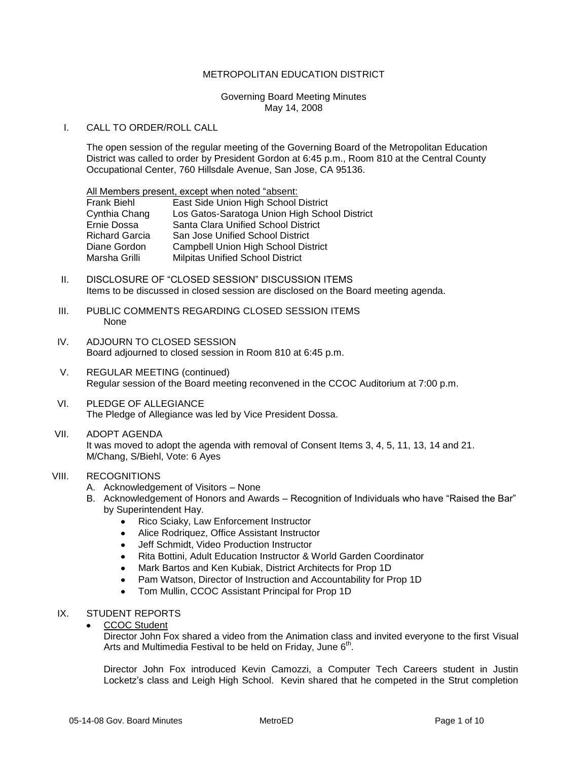## METROPOLITAN EDUCATION DISTRICT

### Governing Board Meeting Minutes May 14, 2008

## I. CALL TO ORDER/ROLL CALL

The open session of the regular meeting of the Governing Board of the Metropolitan Education District was called to order by President Gordon at 6:45 p.m., Room 810 at the Central County Occupational Center, 760 Hillsdale Avenue, San Jose, CA 95136.

| All Members present, except when noted "absent: |                                               |
|-------------------------------------------------|-----------------------------------------------|
| Frank Biehl                                     | East Side Union High School District          |
| Cynthia Chang                                   | Los Gatos-Saratoga Union High School District |
| Ernie Dossa                                     | Santa Clara Unified School District           |
| Richard Garcia                                  | San Jose Unified School District              |
| Diane Gordon                                    | <b>Campbell Union High School District</b>    |
| Marsha Grilli                                   | <b>Milpitas Unified School District</b>       |
|                                                 |                                               |

- II. DISCLOSURE OF "CLOSED SESSION" DISCUSSION ITEMS Items to be discussed in closed session are disclosed on the Board meeting agenda.
- III. PUBLIC COMMENTS REGARDING CLOSED SESSION ITEMS None
- IV. ADJOURN TO CLOSED SESSION Board adjourned to closed session in Room 810 at 6:45 p.m.
- V. REGULAR MEETING (continued) Regular session of the Board meeting reconvened in the CCOC Auditorium at 7:00 p.m.
- VI. PLEDGE OF ALLEGIANCE The Pledge of Allegiance was led by Vice President Dossa.
- VII. ADOPT AGENDA It was moved to adopt the agenda with removal of Consent Items 3, 4, 5, 11, 13, 14 and 21. M/Chang, S/Biehl, Vote: 6 Ayes

# VIII. RECOGNITIONS

- A. Acknowledgement of Visitors None
- B. Acknowledgement of Honors and Awards Recognition of Individuals who have "Raised the Bar" by Superintendent Hay.
	- $\bullet$ Rico Sciaky, Law Enforcement Instructor
	- Alice Rodriquez, Office Assistant Instructor  $\bullet$
	- Jeff Schmidt, Video Production Instructor
	- $\bullet$ Rita Bottini, Adult Education Instructor & World Garden Coordinator
	- Mark Bartos and Ken Kubiak, District Architects for Prop 1D  $\bullet$
	- Pam Watson, Director of Instruction and Accountability for Prop 1D  $\bullet$
	- Tom Mullin, CCOC Assistant Principal for Prop 1D  $\bullet$

# IX. STUDENT REPORTS

CCOC Student

Director John Fox shared a video from the Animation class and invited everyone to the first Visual Arts and Multimedia Festival to be held on Friday, June  $6<sup>th</sup>$ .

Director John Fox introduced Kevin Camozzi, a Computer Tech Careers student in Justin Locketz's class and Leigh High School. Kevin shared that he competed in the Strut completion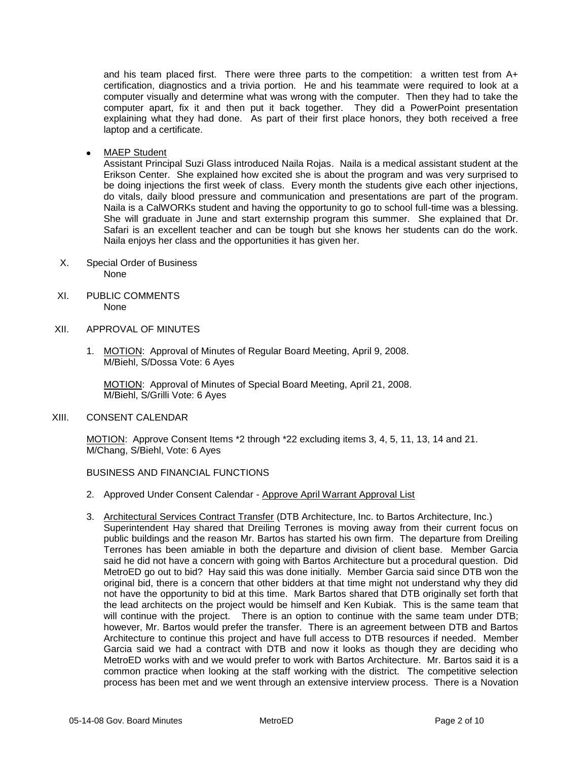and his team placed first. There were three parts to the competition: a written test from A+ certification, diagnostics and a trivia portion. He and his teammate were required to look at a computer visually and determine what was wrong with the computer. Then they had to take the computer apart, fix it and then put it back together. They did a PowerPoint presentation explaining what they had done. As part of their first place honors, they both received a free laptop and a certificate.

MAEP Student

Assistant Principal Suzi Glass introduced Naila Rojas. Naila is a medical assistant student at the Erikson Center. She explained how excited she is about the program and was very surprised to be doing injections the first week of class. Every month the students give each other injections, do vitals, daily blood pressure and communication and presentations are part of the program. Naila is a CalWORKs student and having the opportunity to go to school full-time was a blessing. She will graduate in June and start externship program this summer. She explained that Dr. Safari is an excellent teacher and can be tough but she knows her students can do the work. Naila enjoys her class and the opportunities it has given her.

- X. Special Order of Business None
- XI. PUBLIC COMMENTS None
- XII. APPROVAL OF MINUTES
	- 1. MOTION: Approval of Minutes of Regular Board Meeting, April 9, 2008. M/Biehl, S/Dossa Vote: 6 Ayes

MOTION: Approval of Minutes of Special Board Meeting, April 21, 2008. M/Biehl, S/Grilli Vote: 6 Ayes

XIII. CONSENT CALENDAR

MOTION: Approve Consent Items \*2 through \*22 excluding items 3, 4, 5, 11, 13, 14 and 21. M/Chang, S/Biehl, Vote: 6 Ayes

## BUSINESS AND FINANCIAL FUNCTIONS

- 2. Approved Under Consent Calendar Approve April Warrant Approval List
- 3. Architectural Services Contract Transfer (DTB Architecture, Inc. to Bartos Architecture, Inc.) Superintendent Hay shared that Dreiling Terrones is moving away from their current focus on public buildings and the reason Mr. Bartos has started his own firm. The departure from Dreiling Terrones has been amiable in both the departure and division of client base. Member Garcia said he did not have a concern with going with Bartos Architecture but a procedural question. Did MetroED go out to bid? Hay said this was done initially. Member Garcia said since DTB won the original bid, there is a concern that other bidders at that time might not understand why they did not have the opportunity to bid at this time. Mark Bartos shared that DTB originally set forth that the lead architects on the project would be himself and Ken Kubiak. This is the same team that will continue with the project. There is an option to continue with the same team under DTB; however, Mr. Bartos would prefer the transfer. There is an agreement between DTB and Bartos Architecture to continue this project and have full access to DTB resources if needed. Member Garcia said we had a contract with DTB and now it looks as though they are deciding who MetroED works with and we would prefer to work with Bartos Architecture. Mr. Bartos said it is a common practice when looking at the staff working with the district. The competitive selection process has been met and we went through an extensive interview process. There is a Novation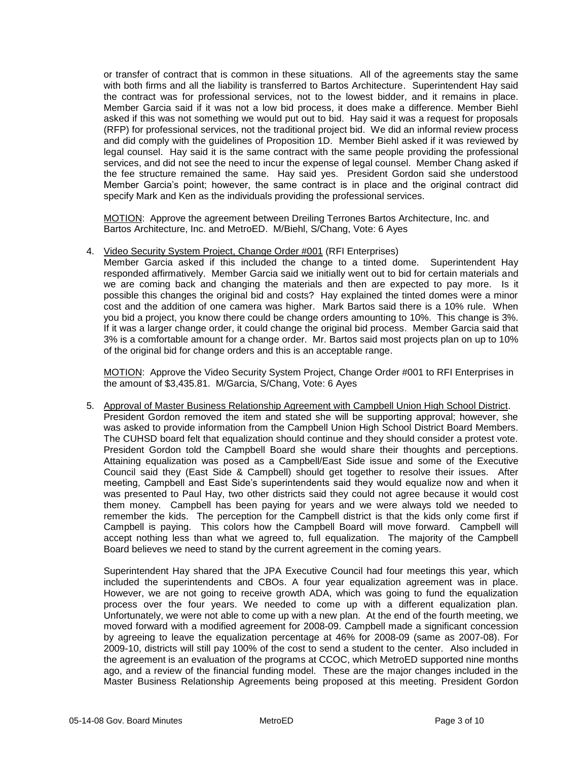or transfer of contract that is common in these situations. All of the agreements stay the same with both firms and all the liability is transferred to Bartos Architecture. Superintendent Hay said the contract was for professional services, not to the lowest bidder, and it remains in place. Member Garcia said if it was not a low bid process, it does make a difference. Member Biehl asked if this was not something we would put out to bid. Hay said it was a request for proposals (RFP) for professional services, not the traditional project bid. We did an informal review process and did comply with the guidelines of Proposition 1D. Member Biehl asked if it was reviewed by legal counsel. Hay said it is the same contract with the same people providing the professional services, and did not see the need to incur the expense of legal counsel. Member Chang asked if the fee structure remained the same. Hay said yes. President Gordon said she understood Member Garcia's point; however, the same contract is in place and the original contract did specify Mark and Ken as the individuals providing the professional services.

MOTION: Approve the agreement between Dreiling Terrones Bartos Architecture, Inc. and Bartos Architecture, Inc. and MetroED. M/Biehl, S/Chang, Vote: 6 Ayes

4. Video Security System Project, Change Order #001 (RFI Enterprises)

Member Garcia asked if this included the change to a tinted dome. Superintendent Hay responded affirmatively. Member Garcia said we initially went out to bid for certain materials and we are coming back and changing the materials and then are expected to pay more. Is it possible this changes the original bid and costs? Hay explained the tinted domes were a minor cost and the addition of one camera was higher. Mark Bartos said there is a 10% rule. When you bid a project, you know there could be change orders amounting to 10%. This change is 3%. If it was a larger change order, it could change the original bid process. Member Garcia said that 3% is a comfortable amount for a change order. Mr. Bartos said most projects plan on up to 10% of the original bid for change orders and this is an acceptable range.

MOTION: Approve the Video Security System Project, Change Order #001 to RFI Enterprises in the amount of \$3,435.81. M/Garcia, S/Chang, Vote: 6 Ayes

5. Approval of Master Business Relationship Agreement with Campbell Union High School District. President Gordon removed the item and stated she will be supporting approval; however, she was asked to provide information from the Campbell Union High School District Board Members. The CUHSD board felt that equalization should continue and they should consider a protest vote. President Gordon told the Campbell Board she would share their thoughts and perceptions. Attaining equalization was posed as a Campbell/East Side issue and some of the Executive Council said they (East Side & Campbell) should get together to resolve their issues. After meeting, Campbell and East Side's superintendents said they would equalize now and when it was presented to Paul Hay, two other districts said they could not agree because it would cost them money. Campbell has been paying for years and we were always told we needed to remember the kids. The perception for the Campbell district is that the kids only come first if Campbell is paying. This colors how the Campbell Board will move forward. Campbell will accept nothing less than what we agreed to, full equalization. The majority of the Campbell Board believes we need to stand by the current agreement in the coming years.

Superintendent Hay shared that the JPA Executive Council had four meetings this year, which included the superintendents and CBOs. A four year equalization agreement was in place. However, we are not going to receive growth ADA, which was going to fund the equalization process over the four years. We needed to come up with a different equalization plan. Unfortunately, we were not able to come up with a new plan. At the end of the fourth meeting, we moved forward with a modified agreement for 2008-09. Campbell made a significant concession by agreeing to leave the equalization percentage at 46% for 2008-09 (same as 2007-08). For 2009-10, districts will still pay 100% of the cost to send a student to the center. Also included in the agreement is an evaluation of the programs at CCOC, which MetroED supported nine months ago, and a review of the financial funding model. These are the major changes included in the Master Business Relationship Agreements being proposed at this meeting. President Gordon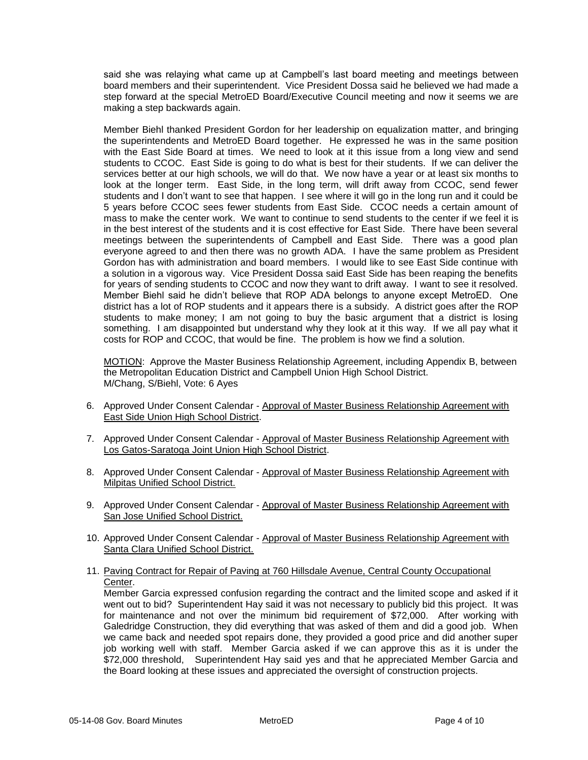said she was relaying what came up at Campbell's last board meeting and meetings between board members and their superintendent. Vice President Dossa said he believed we had made a step forward at the special MetroED Board/Executive Council meeting and now it seems we are making a step backwards again.

Member Biehl thanked President Gordon for her leadership on equalization matter, and bringing the superintendents and MetroED Board together. He expressed he was in the same position with the East Side Board at times. We need to look at it this issue from a long view and send students to CCOC. East Side is going to do what is best for their students. If we can deliver the services better at our high schools, we will do that. We now have a year or at least six months to look at the longer term. East Side, in the long term, will drift away from CCOC, send fewer students and I don't want to see that happen. I see where it will go in the long run and it could be 5 years before CCOC sees fewer students from East Side. CCOC needs a certain amount of mass to make the center work. We want to continue to send students to the center if we feel it is in the best interest of the students and it is cost effective for East Side. There have been several meetings between the superintendents of Campbell and East Side. There was a good plan everyone agreed to and then there was no growth ADA. I have the same problem as President Gordon has with administration and board members. I would like to see East Side continue with a solution in a vigorous way. Vice President Dossa said East Side has been reaping the benefits for years of sending students to CCOC and now they want to drift away. I want to see it resolved. Member Biehl said he didn't believe that ROP ADA belongs to anyone except MetroED. One district has a lot of ROP students and it appears there is a subsidy. A district goes after the ROP students to make money; I am not going to buy the basic argument that a district is losing something. I am disappointed but understand why they look at it this way. If we all pay what it costs for ROP and CCOC, that would be fine. The problem is how we find a solution.

MOTION: Approve the Master Business Relationship Agreement, including Appendix B, between the Metropolitan Education District and Campbell Union High School District. M/Chang, S/Biehl, Vote: 6 Ayes

- 6. Approved Under Consent Calendar Approval of Master Business Relationship Agreement with East Side Union High School District.
- 7. Approved Under Consent Calendar Approval of Master Business Relationship Agreement with Los Gatos-Saratoga Joint Union High School District.
- 8. Approved Under Consent Calendar Approval of Master Business Relationship Agreement with Milpitas Unified School District.
- 9. Approved Under Consent Calendar Approval of Master Business Relationship Agreement with San Jose Unified School District.
- 10. Approved Under Consent Calendar Approval of Master Business Relationship Agreement with Santa Clara Unified School District.
- 11. Paving Contract for Repair of Paving at 760 Hillsdale Avenue, Central County Occupational Center.

Member Garcia expressed confusion regarding the contract and the limited scope and asked if it went out to bid? Superintendent Hay said it was not necessary to publicly bid this project. It was for maintenance and not over the minimum bid requirement of \$72,000. After working with Galedridge Construction, they did everything that was asked of them and did a good job. When we came back and needed spot repairs done, they provided a good price and did another super job working well with staff. Member Garcia asked if we can approve this as it is under the \$72,000 threshold, Superintendent Hay said yes and that he appreciated Member Garcia and the Board looking at these issues and appreciated the oversight of construction projects.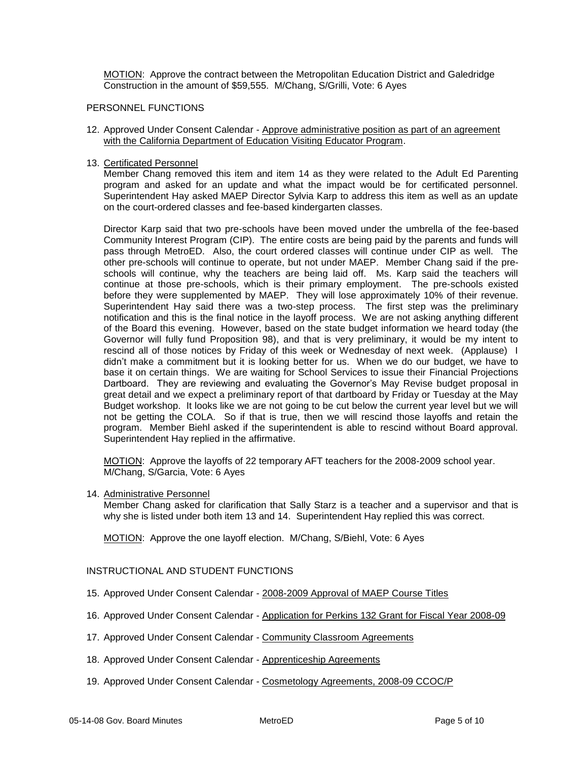MOTION: Approve the contract between the Metropolitan Education District and Galedridge Construction in the amount of \$59,555. M/Chang, S/Grilli, Vote: 6 Ayes

### PERSONNEL FUNCTIONS

- 12. Approved Under Consent Calendar Approve administrative position as part of an agreement with the California Department of Education Visiting Educator Program.
- 13. Certificated Personnel

Member Chang removed this item and item 14 as they were related to the Adult Ed Parenting program and asked for an update and what the impact would be for certificated personnel. Superintendent Hay asked MAEP Director Sylvia Karp to address this item as well as an update on the court-ordered classes and fee-based kindergarten classes.

Director Karp said that two pre-schools have been moved under the umbrella of the fee-based Community Interest Program (CIP). The entire costs are being paid by the parents and funds will pass through MetroED. Also, the court ordered classes will continue under CIP as well. The other pre-schools will continue to operate, but not under MAEP. Member Chang said if the preschools will continue, why the teachers are being laid off. Ms. Karp said the teachers will continue at those pre-schools, which is their primary employment. The pre-schools existed before they were supplemented by MAEP. They will lose approximately 10% of their revenue. Superintendent Hay said there was a two-step process. The first step was the preliminary notification and this is the final notice in the layoff process. We are not asking anything different of the Board this evening. However, based on the state budget information we heard today (the Governor will fully fund Proposition 98), and that is very preliminary, it would be my intent to rescind all of those notices by Friday of this week or Wednesday of next week. (Applause) I didn't make a commitment but it is looking better for us. When we do our budget, we have to base it on certain things. We are waiting for School Services to issue their Financial Projections Dartboard. They are reviewing and evaluating the Governor's May Revise budget proposal in great detail and we expect a preliminary report of that dartboard by Friday or Tuesday at the May Budget workshop. It looks like we are not going to be cut below the current year level but we will not be getting the COLA. So if that is true, then we will rescind those layoffs and retain the program. Member Biehl asked if the superintendent is able to rescind without Board approval. Superintendent Hay replied in the affirmative.

MOTION: Approve the layoffs of 22 temporary AFT teachers for the 2008-2009 school year. M/Chang, S/Garcia, Vote: 6 Ayes

14. Administrative Personnel

Member Chang asked for clarification that Sally Starz is a teacher and a supervisor and that is why she is listed under both item 13 and 14. Superintendent Hay replied this was correct.

MOTION: Approve the one layoff election. M/Chang, S/Biehl, Vote: 6 Ayes

## INSTRUCTIONAL AND STUDENT FUNCTIONS

- 15. Approved Under Consent Calendar 2008-2009 Approval of MAEP Course Titles
- 16. Approved Under Consent Calendar Application for Perkins 132 Grant for Fiscal Year 2008-09
- 17. Approved Under Consent Calendar Community Classroom Agreements
- 18. Approved Under Consent Calendar Apprenticeship Agreements
- 19. Approved Under Consent Calendar Cosmetology Agreements, 2008-09 CCOC/P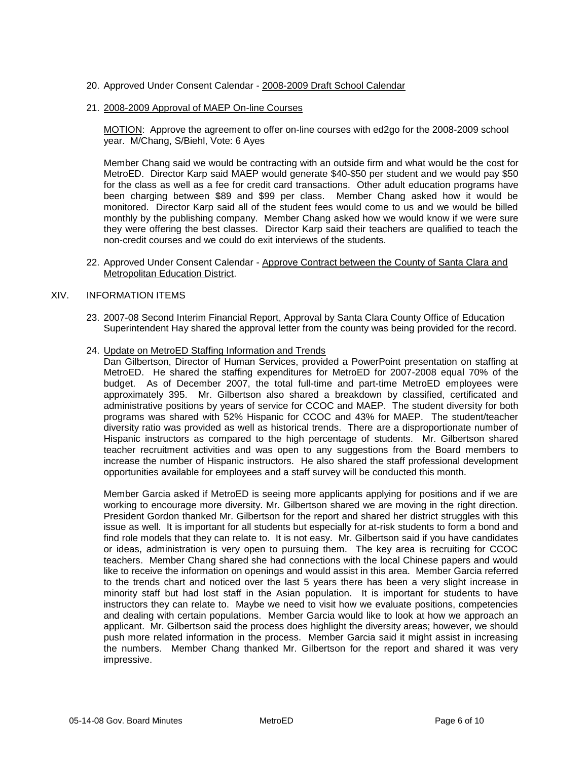### 20. Approved Under Consent Calendar - 2008-2009 Draft School Calendar

#### 21. 2008-2009 Approval of MAEP On-line Courses

MOTION: Approve the agreement to offer on-line courses with ed2go for the 2008-2009 school year. M/Chang, S/Biehl, Vote: 6 Ayes

Member Chang said we would be contracting with an outside firm and what would be the cost for MetroED. Director Karp said MAEP would generate \$40-\$50 per student and we would pay \$50 for the class as well as a fee for credit card transactions. Other adult education programs have been charging between \$89 and \$99 per class. Member Chang asked how it would be monitored. Director Karp said all of the student fees would come to us and we would be billed monthly by the publishing company. Member Chang asked how we would know if we were sure they were offering the best classes. Director Karp said their teachers are qualified to teach the non-credit courses and we could do exit interviews of the students.

22. Approved Under Consent Calendar - Approve Contract between the County of Santa Clara and Metropolitan Education District.

## XIV. INFORMATION ITEMS

- 23. 2007-08 Second Interim Financial Report, Approval by Santa Clara County Office of Education Superintendent Hay shared the approval letter from the county was being provided for the record.
- 24. Update on MetroED Staffing Information and Trends

Dan Gilbertson, Director of Human Services, provided a PowerPoint presentation on staffing at MetroED. He shared the staffing expenditures for MetroED for 2007-2008 equal 70% of the budget. As of December 2007, the total full-time and part-time MetroED employees were approximately 395. Mr. Gilbertson also shared a breakdown by classified, certificated and administrative positions by years of service for CCOC and MAEP. The student diversity for both programs was shared with 52% Hispanic for CCOC and 43% for MAEP. The student/teacher diversity ratio was provided as well as historical trends. There are a disproportionate number of Hispanic instructors as compared to the high percentage of students. Mr. Gilbertson shared teacher recruitment activities and was open to any suggestions from the Board members to increase the number of Hispanic instructors. He also shared the staff professional development opportunities available for employees and a staff survey will be conducted this month.

Member Garcia asked if MetroED is seeing more applicants applying for positions and if we are working to encourage more diversity. Mr. Gilbertson shared we are moving in the right direction. President Gordon thanked Mr. Gilbertson for the report and shared her district struggles with this issue as well. It is important for all students but especially for at-risk students to form a bond and find role models that they can relate to. It is not easy. Mr. Gilbertson said if you have candidates or ideas, administration is very open to pursuing them. The key area is recruiting for CCOC teachers. Member Chang shared she had connections with the local Chinese papers and would like to receive the information on openings and would assist in this area. Member Garcia referred to the trends chart and noticed over the last 5 years there has been a very slight increase in minority staff but had lost staff in the Asian population. It is important for students to have instructors they can relate to. Maybe we need to visit how we evaluate positions, competencies and dealing with certain populations. Member Garcia would like to look at how we approach an applicant. Mr. Gilbertson said the process does highlight the diversity areas; however, we should push more related information in the process. Member Garcia said it might assist in increasing the numbers. Member Chang thanked Mr. Gilbertson for the report and shared it was very impressive.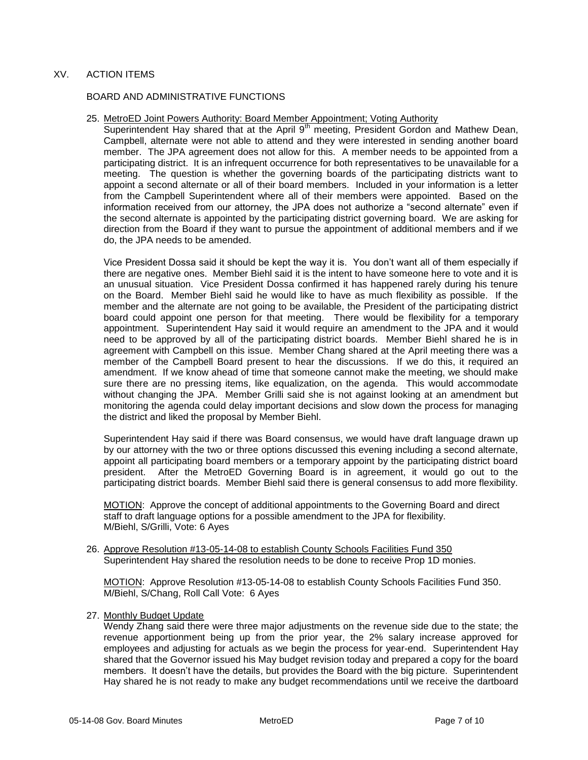## XV. ACTION ITEMS

#### BOARD AND ADMINISTRATIVE FUNCTIONS

#### 25. MetroED Joint Powers Authority: Board Member Appointment; Voting Authority

Superintendent Hay shared that at the April 9<sup>th</sup> meeting, President Gordon and Mathew Dean, Campbell, alternate were not able to attend and they were interested in sending another board member. The JPA agreement does not allow for this. A member needs to be appointed from a participating district. It is an infrequent occurrence for both representatives to be unavailable for a meeting. The question is whether the governing boards of the participating districts want to appoint a second alternate or all of their board members. Included in your information is a letter from the Campbell Superintendent where all of their members were appointed. Based on the information received from our attorney, the JPA does not authorize a "second alternate" even if the second alternate is appointed by the participating district governing board. We are asking for direction from the Board if they want to pursue the appointment of additional members and if we do, the JPA needs to be amended.

Vice President Dossa said it should be kept the way it is. You don't want all of them especially if there are negative ones. Member Biehl said it is the intent to have someone here to vote and it is an unusual situation. Vice President Dossa confirmed it has happened rarely during his tenure on the Board. Member Biehl said he would like to have as much flexibility as possible. If the member and the alternate are not going to be available, the President of the participating district board could appoint one person for that meeting. There would be flexibility for a temporary appointment. Superintendent Hay said it would require an amendment to the JPA and it would need to be approved by all of the participating district boards. Member Biehl shared he is in agreement with Campbell on this issue. Member Chang shared at the April meeting there was a member of the Campbell Board present to hear the discussions. If we do this, it required an amendment. If we know ahead of time that someone cannot make the meeting, we should make sure there are no pressing items, like equalization, on the agenda. This would accommodate without changing the JPA. Member Grilli said she is not against looking at an amendment but monitoring the agenda could delay important decisions and slow down the process for managing the district and liked the proposal by Member Biehl.

Superintendent Hay said if there was Board consensus, we would have draft language drawn up by our attorney with the two or three options discussed this evening including a second alternate, appoint all participating board members or a temporary appoint by the participating district board president. After the MetroED Governing Board is in agreement, it would go out to the participating district boards. Member Biehl said there is general consensus to add more flexibility.

MOTION: Approve the concept of additional appointments to the Governing Board and direct staff to draft language options for a possible amendment to the JPA for flexibility. M/Biehl, S/Grilli, Vote: 6 Ayes

26. Approve Resolution #13-05-14-08 to establish County Schools Facilities Fund 350 Superintendent Hay shared the resolution needs to be done to receive Prop 1D monies.

MOTION: Approve Resolution #13-05-14-08 to establish County Schools Facilities Fund 350. M/Biehl, S/Chang, Roll Call Vote: 6 Ayes

27. Monthly Budget Update

Wendy Zhang said there were three major adjustments on the revenue side due to the state; the revenue apportionment being up from the prior year, the 2% salary increase approved for employees and adjusting for actuals as we begin the process for year-end. Superintendent Hay shared that the Governor issued his May budget revision today and prepared a copy for the board members. It doesn't have the details, but provides the Board with the big picture. Superintendent Hay shared he is not ready to make any budget recommendations until we receive the dartboard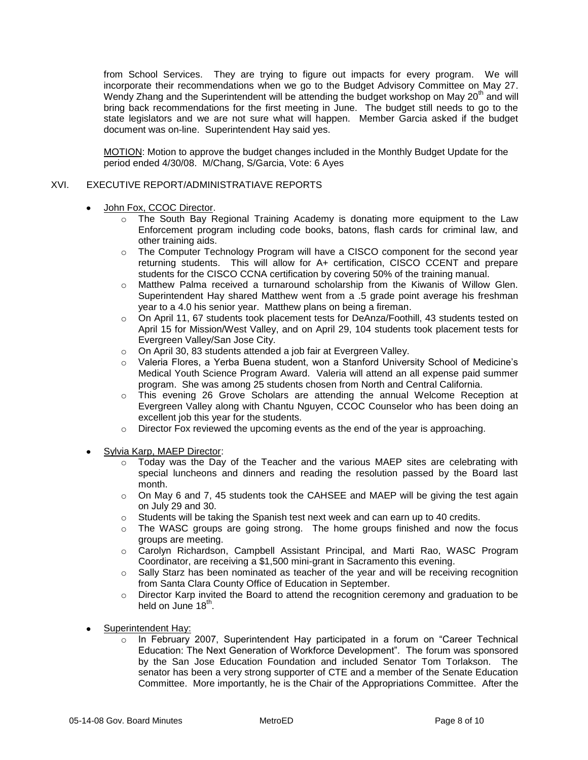from School Services. They are trying to figure out impacts for every program. We will incorporate their recommendations when we go to the Budget Advisory Committee on May 27. Wendy Zhang and the Superintendent will be attending the budget workshop on May 20<sup>th</sup> and will bring back recommendations for the first meeting in June. The budget still needs to go to the state legislators and we are not sure what will happen. Member Garcia asked if the budget document was on-line. Superintendent Hay said yes.

MOTION: Motion to approve the budget changes included in the Monthly Budget Update for the period ended 4/30/08. M/Chang, S/Garcia, Vote: 6 Ayes

## XVI. EXECUTIVE REPORT/ADMINISTRATIAVE REPORTS

- John Fox, CCOC Director.  $\bullet$ 
	- o The South Bay Regional Training Academy is donating more equipment to the Law Enforcement program including code books, batons, flash cards for criminal law, and other training aids.
	- o The Computer Technology Program will have a CISCO component for the second year returning students. This will allow for A+ certification, CISCO CCENT and prepare students for the CISCO CCNA certification by covering 50% of the training manual.
	- o Matthew Palma received a turnaround scholarship from the Kiwanis of Willow Glen. Superintendent Hay shared Matthew went from a .5 grade point average his freshman year to a 4.0 his senior year. Matthew plans on being a fireman.
	- o On April 11, 67 students took placement tests for DeAnza/Foothill, 43 students tested on April 15 for Mission/West Valley, and on April 29, 104 students took placement tests for Evergreen Valley/San Jose City.
	- o On April 30, 83 students attended a job fair at Evergreen Valley.
	- o Valeria Flores, a Yerba Buena student, won a Stanford University School of Medicine's Medical Youth Science Program Award. Valeria will attend an all expense paid summer program. She was among 25 students chosen from North and Central California.
	- o This evening 26 Grove Scholars are attending the annual Welcome Reception at Evergreen Valley along with Chantu Nguyen, CCOC Counselor who has been doing an excellent job this year for the students.
	- $\circ$  Director Fox reviewed the upcoming events as the end of the year is approaching.
- Sylvia Karp, MAEP Director:
	- $\circ$  Today was the Day of the Teacher and the various MAEP sites are celebrating with special luncheons and dinners and reading the resolution passed by the Board last month.
	- o On May 6 and 7, 45 students took the CAHSEE and MAEP will be giving the test again on July 29 and 30.
	- $\circ$  Students will be taking the Spanish test next week and can earn up to 40 credits.
	- $\circ$  The WASC groups are going strong. The home groups finished and now the focus groups are meeting.
	- o Carolyn Richardson, Campbell Assistant Principal, and Marti Rao, WASC Program Coordinator, are receiving a \$1,500 mini-grant in Sacramento this evening.
	- $\circ$  Sally Starz has been nominated as teacher of the year and will be receiving recognition from Santa Clara County Office of Education in September.
	- $\circ$  Director Karp invited the Board to attend the recognition ceremony and graduation to be held on June 18<sup>th</sup>.
- Superintendent Hay:
	- o In February 2007, Superintendent Hay participated in a forum on "Career Technical Education: The Next Generation of Workforce Development". The forum was sponsored by the San Jose Education Foundation and included Senator Tom Torlakson. The senator has been a very strong supporter of CTE and a member of the Senate Education Committee. More importantly, he is the Chair of the Appropriations Committee. After the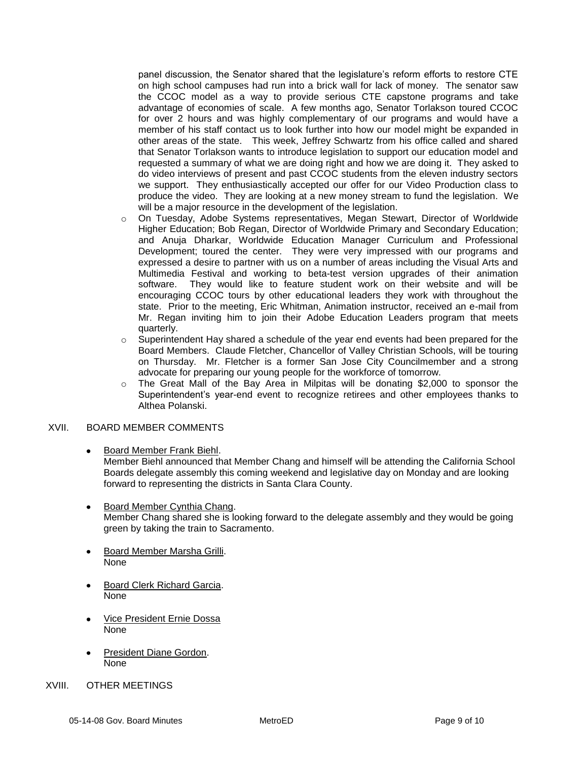panel discussion, the Senator shared that the legislature's reform efforts to restore CTE on high school campuses had run into a brick wall for lack of money. The senator saw the CCOC model as a way to provide serious CTE capstone programs and take advantage of economies of scale. A few months ago, Senator Torlakson toured CCOC for over 2 hours and was highly complementary of our programs and would have a member of his staff contact us to look further into how our model might be expanded in other areas of the state. This week, Jeffrey Schwartz from his office called and shared that Senator Torlakson wants to introduce legislation to support our education model and requested a summary of what we are doing right and how we are doing it. They asked to do video interviews of present and past CCOC students from the eleven industry sectors we support. They enthusiastically accepted our offer for our Video Production class to produce the video. They are looking at a new money stream to fund the legislation. We will be a major resource in the development of the legislation.

- o On Tuesday, Adobe Systems representatives, Megan Stewart, Director of Worldwide Higher Education; Bob Regan, Director of Worldwide Primary and Secondary Education; and Anuja Dharkar, Worldwide Education Manager Curriculum and Professional Development; toured the center. They were very impressed with our programs and expressed a desire to partner with us on a number of areas including the Visual Arts and Multimedia Festival and working to beta-test version upgrades of their animation software. They would like to feature student work on their website and will be encouraging CCOC tours by other educational leaders they work with throughout the state. Prior to the meeting, Eric Whitman, Animation instructor, received an e-mail from Mr. Regan inviting him to join their Adobe Education Leaders program that meets quarterly.
- $\circ$  Superintendent Hay shared a schedule of the year end events had been prepared for the Board Members. Claude Fletcher, Chancellor of Valley Christian Schools, will be touring on Thursday. Mr. Fletcher is a former San Jose City Councilmember and a strong advocate for preparing our young people for the workforce of tomorrow.
- $\circ$  The Great Mall of the Bay Area in Milpitas will be donating \$2,000 to sponsor the Superintendent's year-end event to recognize retirees and other employees thanks to Althea Polanski.

## XVII. BOARD MEMBER COMMENTS

Board Member Frank Biehl.  $\bullet$ 

Member Biehl announced that Member Chang and himself will be attending the California School Boards delegate assembly this coming weekend and legislative day on Monday and are looking forward to representing the districts in Santa Clara County.

- Board Member Cynthia Chang.  $\bullet$ Member Chang shared she is looking forward to the delegate assembly and they would be going green by taking the train to Sacramento.
- Board Member Marsha Grilli.  $\bullet$ None
- Board Clerk Richard Garcia. None
- Vice President Ernie Dossa None
- President Diane Gordon. None
- XVIII. OTHER MEETINGS